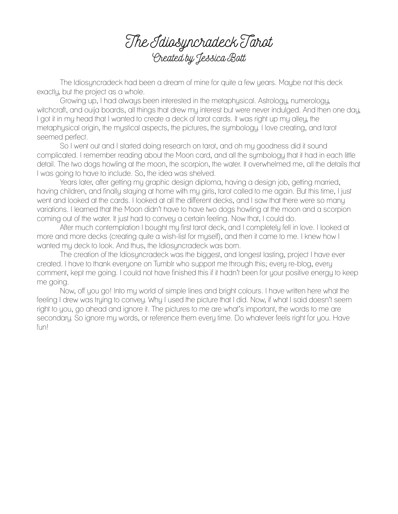The Idiosyncradeck Tarot Created by Jessica Bott

The Idiosyncradeck had been a dream of mine for quite a few years. Maybe not this deck exactly, but the project as a whole.

Growing up, I had always been interested in the metaphysical. Astrology, numerology, witchcraft, and ouija boards, all things that drew my interest but were never indulged. And then one day, I got it in my head that I wanted to create a deck of tarot cards. It was right up my alley, the metaphysical origin, the mystical aspects, the pictures, the symbology. I love creating, and tarot seemed perfect.

So I went out and I started doing research on tarot, and oh my goodness did it sound complicated. I remember reading about the Moon card, and all the symbology that it had in each little detail. The two dogs howling at the moon, the scorpion, the water. It overwhelmed me, all the details that I was going to have to include. So, the idea was shelved.

Years later, after getting my graphic design diploma, having a design job, getting married, having children, and finally staying at home with my girls, tarot called to me again. But this time, I just went and looked at the cards. I looked at all the different decks, and I saw that there were so many variations. I learned that the Moon didn't have to have two dogs howling at the moon and a scorpion coming out of the water. It just had to convey a certain feeling. Now that, I could do.

After much contemplation I bought my first tarot deck, and I completely fell in love. I looked at more and more decks (creating quite a wish-list for myself), and then it came to me. I knew how I wanted my deck to look. And thus, the Idiosyncradeck was born.

The creation of the Idiosyncradeck was the biggest, and longest lasting, project I have ever created. I have to thank everyone on Tumblr who support me through this; every re-blog, every comment, kept me going. I could not have finished this if it hadn't been for your positive energy to keep me going.

Now, off you go! Into my world of simple lines and bright colours. I have written here what the feeling I drew was trying to convey. Why I used the picture that I did. Now, if what I said doesn't seem right to you, go ahead and ignore it. The pictures to me are what's important, the words to me are secondary. So ignore my words, or reference them every time. Do whatever feels right for you. Have fun!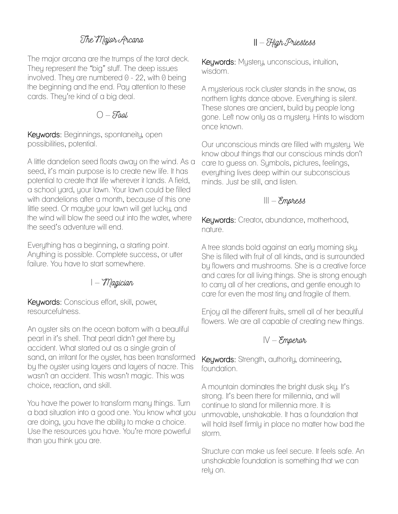### The Major Arcana

The major arcana are the trumps of the tarot deck. They represent the "big" stuff. The deep issues involved. They are numbered  $0 - 22$ , with  $0$  being the beginning and the end. Pay attention to these cards. They're kind of a big deal.

#### $O-Faab$

Keywords: Beginnings, spontaneity, open possibilities, potential.

A little dandelion seed floats away on the wind. As a seed, it's main purpose is to create new life. It has potential to create that life wherever it lands. A field, a school yard, your lawn. Your lawn could be filled with dandelions after a month, because of this one little seed. Or maybe your lawn will get lucky, and the wind will blow the seed out into the water, where the seed's adventure will end.

Everything has a beginning, a starting point. Anything is possible. Complete success, or utter failure. You have to start somewhere.

#### $I - \mathcal{M}$ agician

Keywords: Conscious effort, skill, power, resourcefulness.

An oyster sits on the ocean bottom with a beautiful pearl in it's shell. That pearl didn't get there by accident. What started out as a single grain of sand, an irritant for the oyster, has been transformed by the oyster using layers and layers of nacre. This wasn't an accident. This wasn't magic. This was choice, reaction, and skill.

You have the power to transform many things. Turn a bad situation into a good one. You know what you are doing, you have the ability to make a choice. Use the resources you have. You're more powerful than you think you are.

#### $II - H$ igh Priestess

Keywords: Mystery, unconscious, intuition, wisdom.

A mysterious rock cluster stands in the snow, as northern lights dance above. Everything is silent. These stones are ancient, build by people long gone. Left now only as a mystery. Hints to wisdom once known.

Our unconscious minds are filled with mystery. We know about things that our conscious minds don't care to guess on. Symbols, pictures, feelings, everything lives deep within our subconscious minds. Just be still, and listen.

#### $III -$ Empress

Keywords: Creator, abundance, motherhood, nature.

A tree stands bold against an early morning sky. She is filled with fruit of all kinds, and is surrounded by flowers and mushrooms. She is a creative force and cares for all living things. She is strong enough to carry all of her creations, and gentle enough to care for even the most tiny and fragile of them.

Enjoy all the different fruits, smell all of her beautiful flowers. We are all capable of creating new things.

#### $IV$  – Emperor

Keywords: Strength, authority, domineering, foundation.

A mountain dominates the bright dusk sky. It's strong. It's been there for millennia, and will continue to stand for millennia more. It is unmovable, unshakable. It has a foundation that will hold itself firmly in place no matter how bad the storm.

Structure can make us feel secure. It feels safe. An unshakable foundation is something that we can rely on.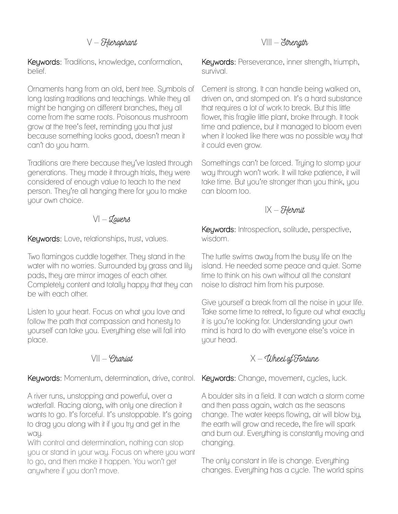#### $V - H$ ierophant

Keywords: Traditions, knowledge, conformation, belief.

Ornaments hang from an old, bent tree. Symbols of long lasting traditions and teachings. While they all might be hanging on different branches, they all come from the same roots. Poisonous mushroom grow at the tree's feet, reminding you that just because something looks good, doesn't mean it can't do you harm.

Traditions are there because they've lasted through generations. They made it through trials, they were considered of enough value to teach to the next person. They're all hanging there for you to make your own choice.

#### $V - Z$ avers

Keywords: Love, relationships, trust, values.

Two flamingos cuddle together. They stand in the water with no worries. Surrounded by grass and lily pads, they are mirror images of each other. Completely content and totally happy that they can be with each other.

Listen to your heart. Focus on what you love and follow the path that compassion and honesty to yourself can take you. Everything else will fall into place.

#### $V|| - \varphi$ hariot

Keywords: Momentum, determination, drive, control. Keywords: Change, movement, cycles, luck.

A river runs, unstopping and powerful, over a waterfall. Racing along, with only one direction it wants to go. It's forceful. It's unstoppable. It's going to drag you along with it if you try and get in the wau.

With control and determination, nothing can stop you or stand in your way. Focus on where you want to go, and then make it happen. You won't get anywhere if you don't move.

#### $VIII - S$ trength

Keywords: Perseverance, inner strength, triumph, survival.

Cement is strong. It can handle being walked on, driven on, and stomped on. It's a hard substance that requires a lot of work to break. But this little flower, this fragile little plant, broke through. It took time and patience, but it managed to bloom even when it looked like there was no possible way that it could even grow.

Somethings can't be forced. Trying to stomp your way through won't work. It will take patience, it will take time. But you're stronger than you think, you can bloom too.

#### $IX - H$ ermit

Keywords: Introspection, solitude, perspective, wisdom.

The turtle swims away from the busy life on the island. He needed some peace and quiet. Some time to think on his own without all the constant noise to distract him from his purpose.

Give yourself a break from all the noise in your life. Take some time to retreat, to figure out what exactly it is you're looking for. Understanding your own mind is hard to do with everyone else's voice in your head.

#### $X$  – Wheel of Fortune

A boulder sits in a field. It can watch a storm come and then pass again, watch as the seasons change. The water keeps flowing, air will blow by, the earth will grow and recede, the fire will spark and burn out. Everything is constantly moving and changing.

The only constant in life is change. Everything changes. Everything has a cycle. The world spins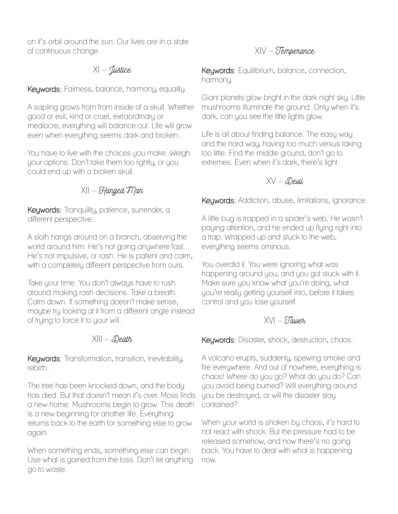on it's orbit around the sun. Our lives are in a state of continuous change.

## $X -$  Justice

Keywords: Fairness, balance, harmony, equality.

A sapling grows from from inside of a skull. Whether good or evil, kind or cruel, extraordinary or mediocre, everything will balance out. Life will grow even when everything seems dark and broken.

You have to live with the choices you make. Weigh your options. Don't take them too lightly, or you could end up with a broken skull.

 $X|| - H$ anged Man

Keywords: Tranquility, patience, surrender, a different perspective.

A sloth hangs around on a branch, observing the world around him. He's not going anywhere fast. He's not impulsive, or rash. He is patient and calm, with a completely different perspective from ours.

Take your time. You don't always have to rush around making rash decisions. Take a breath. Calm down. If something doesn't make sense, maybe try looking at it from a different angle instead of trying to force it to your will.

#### $X||I - \mathcal{D}$ eath

Keywords: Transformation, transition, inevitability, rebirth.

The tree has been knocked down, and the body has died. But that doesn't mean it's over. Moss finds a new home. Mushrooms begin to grow. This death is a new beginning for another life. Everything returns back to the earth for something else to grow again.

When something ends, something else can begin. Use what is gained from the loss. Don't let anything go to waste.

## XIV – Temperance

Keywords: Equilibrium, balance, connection, harmony.

Giant planets glow bright in the dark night sky. Little mushrooms illuminate the ground. Only when it's dark, can you see the little lights glow.

Life is all about finding balance. The easy way and the hard way, having too much versus taking too little. Find the middle ground, don't go to extremes. Even when it's dark, there's light.

### $XV - \mathcal{D}$ evil,

Keywords: Addiction, abuse, limitations, ignorance.

A little bug is trapped in a spider's web. He wasn't paying attention, and he ended up flying right into a trap. Wrapped up and stuck to the web, everything seems ominous.

You overdid it. You were ignoring what was happening around you, and you got stuck with it. Make sure you know what you're doing, what you're really getting yourself into, before it takes control and you lose yourself.

## $XV - \sum_{k=1}^{n} I_{k}X_{k}$

Keywords: Disaster, shock, destruction, chaos.

A volcano erupts, suddenly, spewing smoke and fire everywhere. And out of nowhere, everything is chaos! Where do you go? What do you do? Can you avoid being burned? Will everything around you be destroyed, or will the disaster stay contained?

When your world is shaken by chaos, it's hard to not react with shock. But the pressure had to be released somehow, and now there's no going back. You have to deal with what is happening now.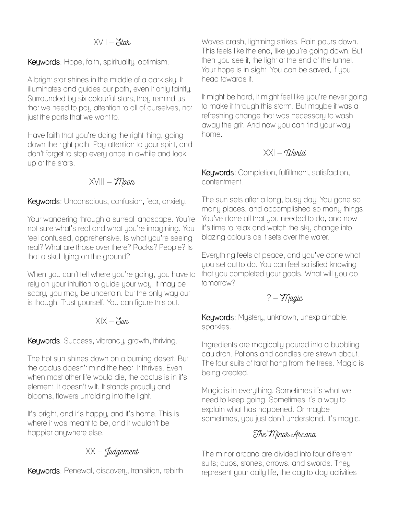#### $XV|| - \delta t$ ar

Keywords: Hope, faith, spirituality, optimism.

A bright star shines in the middle of a dark sky. It illuminates and guides our path, even if only faintly. Surrounded by six colourful stars, they remind us that we need to pay attention to all of ourselves, not just the parts that we want to.

Have faith that you're doing the right thing, going down the right path. Pay attention to your spirit, and don't forget to stop every once in awhile and look up at the stars.

 $XVIII - M$ aan

Keywords: Unconscious, confusion, fear, anxiety.

Your wandering through a surreal landscape. You're not sure what's real and what you're imagining. You feel confused, apprehensive. Is what you're seeing real? What are those over there? Rocks? People? Is that a skull lying on the ground?

When you can't tell where you're going, you have to rely on your intuition to guide your way. It may be scary, you may be uncertain, but the only way out is though. Trust yourself. You can figure this out.

#### $XIX - \xi y$

Keywords: Success, vibrancy, growth, thriving.

The hot sun shines down on a burning desert. But the cactus doesn't mind the heat. It thrives. Even when most other life would die, the cactus is in it's element. It doesn't wilt. It stands proudly and blooms, flowers unfolding into the light.

It's bright, and it's happy, and it's home. This is where it was meant to be, and it wouldn't be happier anywhere else.

 $XX - \underline{J}$ udgement

Keywords: Renewal, discovery, transition, rebirth.

Waves crash, lightning strikes. Rain pours down. This feels like the end, like you're going down. But then you see it, the light at the end of the tunnel. Your hope is in sight. You can be saved, if you head towards it.

It might be hard, it might feel like you're never going to make it through this storm. But maybe it was a refreshing change that was necessary to wash away the grit. And now you can find your way home.

### $|XX| - 1$ larid

Keywords: Completion, fulfillment, satisfaction, contentment.

The sun sets after a long, busy day. You gone so many places, and accomplished so many things. You've done all that you needed to do, and now it's time to relax and watch the sky change into blazing colours as it sets over the water.

Everything feels at peace, and you've done what you set out to do. You can feel satisfied knowing that you completed your goals. What will you do tomorrow?

? – Magic

Keywords: Mystery, unknown, unexplainable, sparkles.

Ingredients are magically poured into a bubbling cauldron. Potions and candles are strewn about. The four suits of tarot hang from the trees. Magic is being created.

Magic is in everything. Sometimes it's what we need to keep going. Sometimes it's a way to explain what has happened. Or maybe sometimes, you just don't understand. It's magic.

## The Minor Arcana

The minor arcana are divided into four different suits; cups, stones, arrows, and swords. They represent your daily life, the day to day activities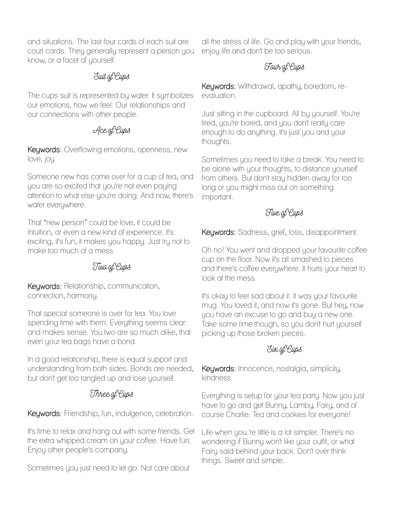and situations. The last four cards of each suit are court cards. They generally represent a person you know, or a facet of yourself.

### Suit of Cups

The cups suit is represented by water. It symbolizes our emotions, how we feel. Our relationships and our connections with other people.

## Ace of Cups

Keywords: Overflowing emotions, openness, new love, joy.

Someone new has come over for a cup of tea, and you are so excited that you're not even paying attention to what else you're doing. And now, there's water everywhere.

That "new person" could be love, it could be intuition, or even a new kind of experience. It's exciting, it's fun, it makes you happy. Just try not to make too much of a mess.

## Two of Cups

Keywords: Relationship, communication, connection, harmony.

That special someone is over for tea. You love spending time with them. Everything seems clear and makes sense. You two are so much alike, that even your tea bags have a bond.

In a good relationship, there is equal support and understanding from both sides. Bonds are needed, but don't get too tangled up and lose yourself.

## Three of Cups

Keywords: Friendship, fun, indulgence, celebration.

It's time to relax and hang out with some friends. Get the extra whipped cream on your coffee. Have fun. Enjoy other people's company.

Sometimes you just need to let go. Not care about

all the stress of life. Go and play with your friends, enjoy life and don't be too serious.

## Four of Cups

Keywords: Withdrawal, apathy, boredom, reevaluation.

Just sitting in the cupboard. All by yourself. You're tired, you're bored, and you don't really care enough to do anything. It's just you and your thoughts.

Sometimes you need to take a break. You need to be alone with your thoughts, to distance yourself from others. But don't stay hidden away for too long or you might miss out on something important.

## Five of Cups

Keywords: Sadness, grief, loss, disappointment.

Oh no! You went and dropped your favourite coffee cup on the floor. Now it's all smashed to pieces and there's coffee everywhere. It hurts your heart to look at the mess.

It's okay to feel sad about it. It was your favourite mug. You loved it, and now it's gone. But hey, now you have an excuse to go and buy a new one. Take some time though, so you don't hurt yourself picking up those broken pieces.

# Six of Cups

Keywords: Innocence, nostalgia, simplicity, kindness.

Everything is setup for your tea party. Now you just have to go and get Bunny, Lamby, Fairy, and of course Charlie. Tea and cookies for everyone!

Life when you.'re little is a lot simpler. There's no wondering if Bunny won't like your outfit, or what Fairy said behind your back. Don't over think things. Sweet and simple.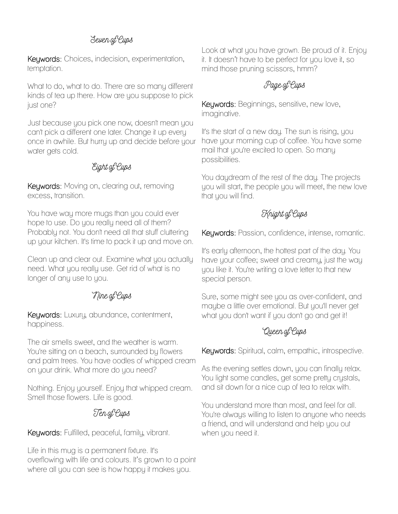## Seven of Cups

Keywords: Choices, indecision, experimentation, temptation.

What to do, what to do. There are so many different kinds of tea up there. How are you suppose to pick just one?

Just because you pick one now, doesn't mean you can't pick a different one later. Change it up every once in awhile. But hurry up and decide before your water gets cold.

### Eight of Cups

Keywords: Moving on, clearing out, removing excess, transition.

You have way more mugs than you could ever hope to use. Do you really need all of them? Probably not. You don't need all that stuff cluttering up your kitchen. It's time to pack it up and move on.

Clean up and clear out. Examine what you actually need. What you really use. Get rid of what is no longer of any use to you.

## Nine of Cups

Keywords: Luxury, abundance, contentment, happiness.

The air smells sweet, and the weather is warm. You're sitting on a beach, surrounded by flowers and palm trees. You have oodles of whipped cream on your drink. What more do you need?

Nothing. Enjoy yourself. Enjoy that whipped cream. Smell those flowers. Life is good.

## Ten of Cups

Keywords: Fulfilled, peaceful, family, vibrant.

Life in this mug is a permanent fixture. It's overflowing with life and colours. It's grown to a point where all you can see is how happy it makes you.

Look at what you have grown. Be proud of it. Enjoy it. It doesn't have to be perfect for you love it, so mind those pruning scissors, hmm?

### Page of Cups

Keywords: Beginnings, sensitive, new love, imaginative.

It's the start of a new day. The sun is rising, you have your morning cup of coffee. You have some mail that you're excited to open. So many possibilities.

You daydream of the rest of the day. The projects you will start, the people you will meet, the new love that you will find.

## Knight of Cups

Keywords: Passion, confidence, intense, romantic.

It's early afternoon, the hottest part of the day. You have your coffee; sweet and creamy, just the way you like it. You're writing a love letter to that new special person.

Sure, some might see you as over-confident, and maybe a little over emotional. But you'll never get what you don't want if you don't go and get it!

## Queen of Cups

Keywords: Spiritual, calm, empathic, introspective.

As the evening settles down, you can finally relax. You light some candles, get some pretty crystals, and sit down for a nice cup of tea to relax with.

You understand more than most, and feel for all. You're always willing to listen to anyone who needs a friend, and will understand and help you out when you need it.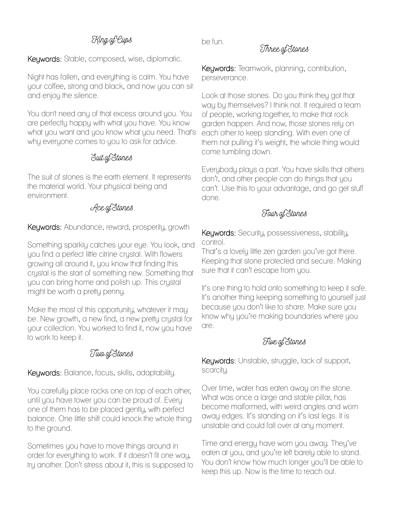# King of Cups

Keywords: Stable, composed, wise, diplomatic.

Night has fallen, and everything is calm. You have your coffee, strong and black, and now you can sit and enjoy the silence.

You don't need any of that excess around you. You are perfectly happy with what you have. You know what you want and you know what you need. That's why everyone comes to you to ask for advice.

#### Suit of Stones

The suit of stones is the earth element. It represents the material world. Your physical being and environment.

#### Ace of Stones

Keywords: Abundance, reward, prosperity, growth

Something sparkly catches your eye. You look, and you find a perfect little citrine crystal. With flowers growing all around it, you know that finding this crystal is the start of something new. Something that you can bring home and polish up. This crystal might be worth a pretty penny.

Make the most of this opportunity, whatever it may be. New growth, a new find, a new pretty crystal for your collection. You worked to find it, now you have to work to keep it.

#### Two of Stones

Keywords: Balance, focus, skills, adaptability.

You carefully place rocks one on top of each other, until you have tower you can be proud of. Every one of them has to be placed gently, with perfect balance. One little shift could knock the whole thing to the ground.

Sometimes you have to move things around in order for everything to work. If it doesn't fit one way, try another. Don't stress about it, this is supposed to be fun.

#### Three of Stones

Keywords: Teamwork, planning, contribution, perseverance.

Look at those stones. Do you think they got that way by themselves? I think not. It required a team of people, working together, to make that rock garden happen. And now, those stones rely on each other to keep standing. With even one of them not pulling it's weight, the whole thing would come tumbling down.

Everybody plays a part. You have skills that others don't, and other people can do things that you can't. Use this to your advantage, and go get stuff done.

#### Four of Stones

Keywords: Security, possessiveness, stability, control.

That's a lovely little zen garden you've got there. Keeping that stone protected and secure. Making sure that it can't escape from you.

It's one thing to hold onto something to keep it safe. It's another thing keeping something to yourself just because you don't like to share. Make sure you know why you're making boundaries where you are.

#### Five of Stones

Keywords: Unstable, struggle, lack of support, scarcity.

Over time, water has eaten away on the stone. What was once a large and stable pillar, has become malformed, with weird angles and worn away edges. It's standing on it's last legs. It is unstable and could fall over at any moment.

Time and energy have worn you away. They've eaten at you, and you're left barely able to stand. You don't know how much longer you'll be able to keep this up. Now is the time to reach out.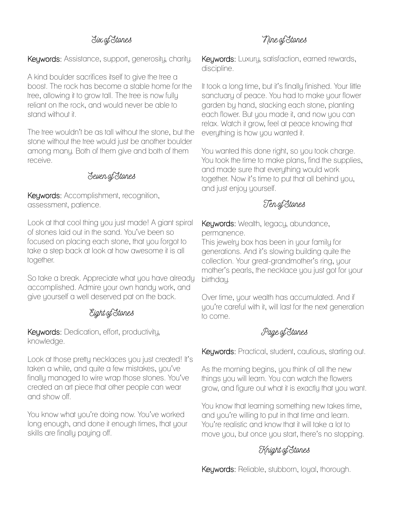### Six of Stones

Keywords: Assistance, support, generosity, charity.

A kind boulder sacrifices itself to give the tree a boost. The rock has become a stable home for the tree, allowing it to grow tall. The tree is now fully reliant on the rock, and would never be able to stand without it.

The tree wouldn't be as tall without the stone, but the stone without the tree would just be another boulder among many. Both of them give and both of them receive.

#### Seven of Stones

Keywords: Accomplishment, recognition, assessment, patience.

Look at that cool thing you just made! A giant spiral of stones laid out in the sand. You've been so focused on placing each stone, that you forgot to take a step back at look at how awesome it is all together.

So take a break. Appreciate what you have already accomplished. Admire your own handy work, and give yourself a well deserved pat on the back.

#### Eight of Stones

Keywords: Dedication, effort, productivity, knowledge.

Look at those pretty necklaces you just created! It's taken a while, and quite a few mistakes, you've finally managed to wire wrap those stones. You've created an art piece that other people can wear and show off.

You know what you're doing now. You've worked long enough, and done it enough times, that your skills are finally paying off.

Keywords: Luxury, satisfaction, earned rewards, discipline.

It took a long time, but it's finally finished. Your little sanctuary of peace. You had to make your flower garden by hand, stacking each stone, planting each flower. But you made it, and now you can relax. Watch it grow, feel at peace knowing that everything is how you wanted it.

You wanted this done right, so you took charge. You took the time to make plans, find the supplies, and made sure that everything would work together. Now it's time to put that all behind you, and just enjoy yourself.

## Ten of Stones

Keywords: Wealth, legacy, abundance, permanence.

This jewelry box has been in your family for generations. And it's slowing building quite the collection. Your great-grandmother's ring, your mother's pearls, the necklace you just got for your birthday.

Over time, your wealth has accumulated. And if you're careful with it, will last for the next generation to come.

## Page of Stones

Keywords: Practical, student, cautious, starting out.

As the morning begins, you think of all the new things you will learn. You can watch the flowers grow, and figure out what it is exactly that you want.

You know that learning something new takes time, and you're willing to put in that time and learn. You're realistic and know that it will take a lot to move you, but once you start, there's no stopping.

# Knight of Stones

Keywords: Reliable, stubborn, loyal, thorough.

# Nine of Stones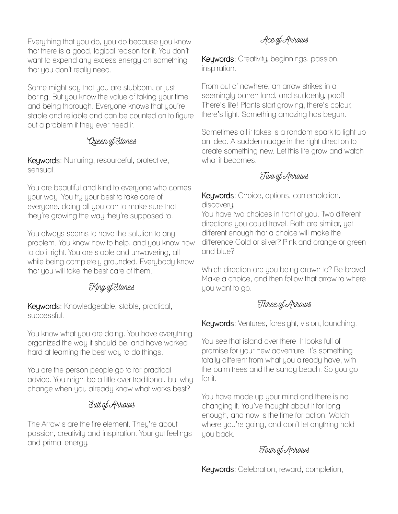Everything that you do, you do because you know that there is a good, logical reason for it. You don't want to expend any excess energy on something that you don't really need.

Some might say that you are stubborn, or just boring. But you know the value of taking your time and being thorough. Everyone knows that you're stable and reliable and can be counted on to figure out a problem if they ever need it.

## Queen of Stones

Keywords: Nurturing, resourceful, protective, sensual.

You are beautiful and kind to everyone who comes your way. You try your best to take care of everyone, doing all you can to make sure that they're growing the way they're supposed to.

You always seems to have the solution to any problem. You know how to help, and you know how to do it right. You are stable and unwavering, all while being completely grounded. Everybody know that you will take the best care of them.

## King of Stones

Keywords: Knowledgeable, stable, practical, successful.

You know what you are doing. You have everything organized the way it should be, and have worked hard at learning the best way to do things.

You are the person people go to for practical advice. You might be a little over traditional, but why change when you already know what works best?

## Suit of Arrows

The Arrow s are the fire element. They're about passion, creativity and inspiration. Your gut feelings and primal energy.

# Ace of Arrows

Keywords: Creativity, beginnings, passion, inspiration.

From out of nowhere, an arrow strikes in a seemingly barren land, and suddenly, poof! There's life! Plants start growing, there's colour, there's light. Something amazing has begun.

Sometimes all it takes is a random spark to light up an idea. A sudden nudge in the right direction to create something new. Let this life grow and watch what it becomes.

# Two of Arrows

Keywords: Choice, options, contemplation, discovery.

You have two choices in front of you. Two different directions you could travel. Both are similar, yet different enough that a choice will make the difference Gold or silver? Pink and orange or green and blue?

Which direction are you being drawn to? Be brave! Make a choice, and then follow that arrow to where you want to go.

## Three of Arrows

Keywords: Ventures, foresight, vision, launching.

You see that island over there. It looks full of promise for your new adventure. It's something totally different from what you already have, with the palm trees and the sandy beach. So you go for it.

You have made up your mind and there is no changing it. You've thought about it for long enough, and now is the time for action. Watch where you're going, and don't let anything hold you back.

# Four of Arrows

Keywords: Celebration, reward, completion,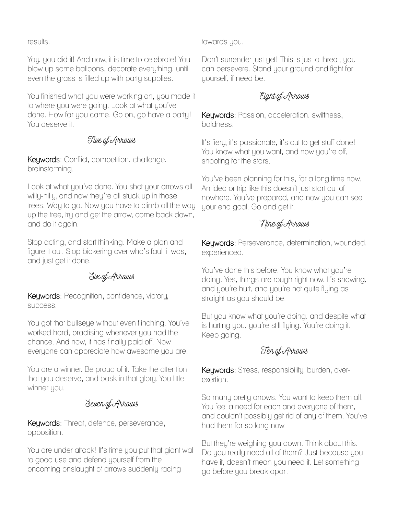results.

Yay, you did it! And now, it is time to celebrate! You blow up some balloons, decorate everything, until even the grass is filled up with party supplies.

You finished what you were working on, you made it to where you were going. Look at what you've done. How far you came. Go on, go have a party! You deserve it.

### Five of Arrows

Keywords: Conflict, competition, challenge, brainstorming.

Look at what you've done. You shot your arrows all willy-nilly, and now they're all stuck up in those trees. Way to go. Now you have to climb all the way up the tree, try and get the arrow, come back down, and do it again.

Stop acting, and start thinking. Make a plan and figure it out. Stop bickering over who's fault it was, and just get it done.

#### Six of Arrows

Keywords: Recognition, confidence, victory, success.

You got that bullseye without even flinching. You've worked hard, practising whenever you had the chance. And now, it has finally paid off. Now everyone can appreciate how awesome you are.

You are a winner. Be proud of it. Take the attention that you deserve, and bask in that glory. You little winner you.

Seven of Arrows

Keywords: Threat, defence, perseverance, opposition.

You are under attack! It's time you put that giant wall to good use and defend yourself from the oncoming onslaught of arrows suddenly racing

towards you.

Don't surrender just yet! This is just a threat, you can persevere. Stand your ground and fight for yourself, if need be.

# Eight of Arrows

Keywords: Passion, acceleration, swiftness, boldness.

It's fiery, it's passionate, it's out to get stuff done! You know what you want, and now you're off, shooting for the stars.

You've been planning for this, for a long time now. An idea or trip like this doesn't just start out of nowhere. You've prepared, and now you can see your end goal. Go and get it.

# Nine of Arrows

Keywords: Perseverance, determination, wounded, experienced.

You've done this before. You know what you're doing. Yes, things are rough right now. It's snowing, and you're hurt, and you're not quite flying as straight as you should be.

But you know what you're doing, and despite what is hurting you, you're still flying. You're doing it. Keep going.

# Ten of Arrows

Keywords: Stress, responsibility, burden, overexertion.

So many pretty arrows. You want to keep them all. You feel a need for each and everyone of them, and couldn't possibly get rid of any of them. You've had them for so long now.

But they're weighing you down. Think about this. Do you really need all of them? Just because you have it, doesn't mean you need it. Let something go before you break apart.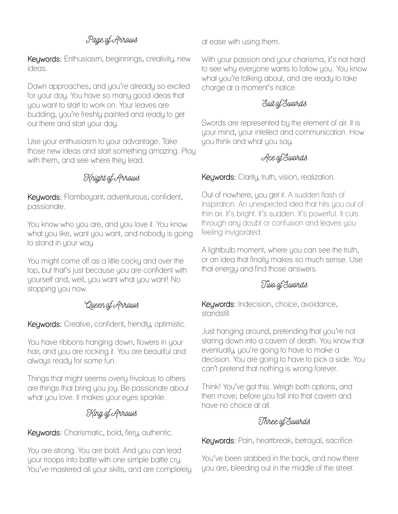# Page of Arrows

Keywords: Enthusiasm, beginnings, creativity, new ideas.

Dawn approaches, and you're already so excited for your day. You have so many good ideas that you want to start to work on. Your leaves are budding, you're freshly painted and ready to get out there and start your day.

Use your enthusiasm to your advantage. Take those new ideas and start something amazing. Play with them, and see where they lead.

## Knight of Arrows

Keywords: Flamboyant, adventurous, confident, passionate.

You know who you are, and you love it. You know what you like, want you want, and nobody is going to stand in your way.

You might come off as a little cocky and over the top, but that's just because you are confident with yourself and, well, you want what you want! No stopping you now.

#### Queen of Arrows

Keywords: Creative, confident, friendly, optimistic.

You have ribbons hanging down, flowers in your hair, and you are rocking it. You are beautiful and always ready for some fun.

Things that might seems overly frivolous to others are things that bring you joy. Be passionate about what you love. It makes your eyes sparkle.

# King of Arrows

Keywords: Charismatic, bold, fiery, authentic.

You are strong. You are bold. And you can lead your troops into battle with one simple battle cry. You've mastered all your skills, and are completely at ease with using them.

With your passion and your charisma, it's not hard to see why everyone wants to follow you. You know what you're talking about, and are ready to take charge at a moment's notice.

### Suit of Swords

Swords are represented by the element of air. It is your mind, your intellect and communication. How you think and what you say.

## Ace of Swords

Keywords: Clarity, truth, vision, realization.

Out of nowhere, you get it. A sudden flash of inspiration. An unexpected idea that hits you out of thin air. It's bright. It's sudden. It's powerful. It cuts through any doubt or confusion and leaves you feeling invigorated.

A lightbulb moment, where you can see the truth, or an idea that finally makes so much sense. Use that energy and find those answers.

## Two of Swords

Keywords: Indecision, choice, avoidance, standstill.

Just hanging around, pretending that you're not staring down into a cavern of death. You know that eventually, you're going to have to make a decision. You are going to have to pick a side. You can't pretend that nothing is wrong forever.

Think! You've got this. Weigh both options, and then move; before you fall into that cavern and have no choice at all.

## Three of Swords

Keywords: Pain, heartbreak, betrayal, sacrifice.

You've been stabbed in the back, and now there you are, bleeding out in the middle of the street.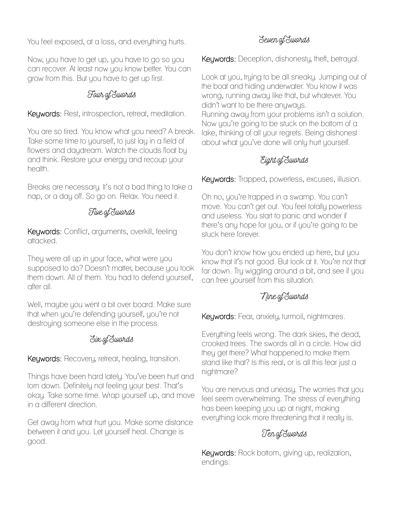You feel exposed, at a loss, and everything hurts.

Now, you have to get up, you have to go so you can recover. At least now you know better. You can grow from this. But you have to get up first.

# Four of Swords

Keywords: Rest, introspection, retreat, meditation.

You are so tired. You know what you need? A break. Take some time to yourself, to just lay in a field of flowers and daydream. Watch the clouds float by and think. Restore your energy and recoup your health.

Breaks are necessary. It's not a bad thing to take a nap, or a day off. So go on. Relax. You need it.

## Five of Swords

Keywords: Conflict, arguments, overkill, feeling attacked.

They were all up in your face, what were you supposed to do? Doesn't matter, because you took them down. All of them. You had to defend yourself, after all.

Well, maybe you went a bit over board. Make sure that when you're defending yourself, you're not destroying someone else in the process.

## Six of Swords

Keywords: Recovery, retreat, healing, transition.

Things have been hard lately. You've been hurt and torn down. Definitely not feeling your best. That's okay. Take some time. Wrap yourself up, and move in a different direction.

Get away from what hurt you. Make some distance between it and you. Let yourself heal. Change is good.

# Seven of Swords

Keywords: Deception, dishonesty, theft, betrayal.

Look at you, trying to be all sneaky. Jumping out of the boat and hiding underwater. You know it was wrong, running away like that, but whatever. You didn't want to be there anyways. Running away from your problems isn't a solution. Now you're going to be stuck on the bottom of a lake, thinking of all your regrets. Being dishonest about what you've done will only hurt yourself.

# Eight of Swords

Keywords: Trapped, powerless, excuses, illusion.

Oh no, you're trapped in a swamp. You can't move. You can't get out. You feel totally powerless and useless. You start to panic and wonder if there's any hope for you, or if you're going to be stuck here forever.

You don't know how you ended up here, but you know that it's not good. But look at it. You're not that far down. Try wiggling around a bit, and see if you can free yourself from this situation.

# Nine of Swords

Keywords: Fear, anxiety, turmoil, nightmares.

Everything feels wrong. The dark skies, the dead, crooked trees. The swords all in a circle. How did they get there? What happened to make them stand like that? Is this real, or is all this fear just a nightmare?

You are nervous and uneasy. The worries that you feel seem overwhelming. The stress of everything has been keeping you up at night, making everything look more threatening that it really is.

# Ten of Swords

Keywords: Rock bottom, giving up, realization, endings.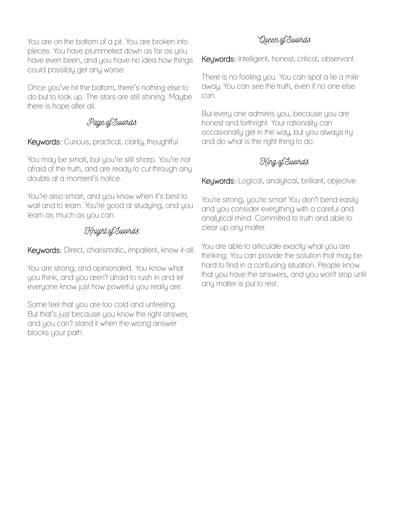You are on the bottom of a pit. You are broken into pieces. You have plummeted down as far as you have even been, and you have no idea how things could possibly get any worse.

Once you've hit the bottom, there's nothing else to do but to look up. The stars are still shining. Maybe there is hope after all.

### Page of Swords

Keywords: Curious, practical, clarity, thoughtful.

You may be small, but you're still sharp. You're not afraid of the truth, and are ready to cut through any doubts at a moment's notice.

You're also smart, and you know when it's best to wait and to learn. You're good at studying, and you learn as much as you can.

## Knight of Swords

Keywords: Direct, charismatic, impatient, know-it-all.

You are strong, and opinionated. You know what you think, and you aren't afraid to rush in and let everyone know just how powerful you really are.

Some feel that you are too cold and unfeeling. But that's just because you know the right answer, and you can't stand it when the wrong answer blocks your path.

# Queen of Swords

Keywords: Intelligent, honest, critical, observant.

There is no fooling you. You can spot a lie a mile away. You can see the truth, even if no one else can.

But every one admires you, because you are honest and forthright. Your rationality can occasionally get in the way, but you always try and do what is the right thing to do.

# King of Swords

Keywords: Logical, analytical, brilliant, objective.

You're strong, you're smart You don't bend easily and you consider everything with a careful and analytical mind. Committed to truth and able to clear up any matter.

You are able to articulate exactly what you are thinking. You can provide the solution that may be hard to find in a confusing situation. People know that you have the answers, and you won't stop until any matter is put to rest.